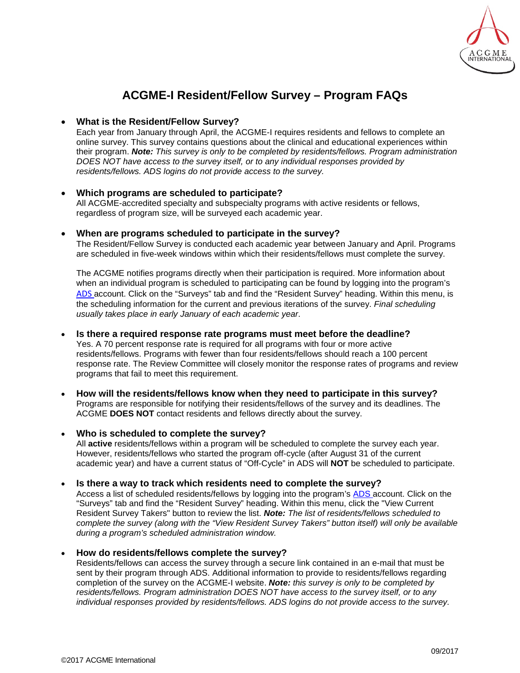

# **ACGME-I Resident/Fellow Survey – Program FAQs**

# • **What is the Resident/Fellow Survey?**

Each year from January through April, the ACGME-I requires residents and fellows to complete an online survey. This survey contains questions about the clinical and educational experiences within their program. *Note: This survey is only to be completed by residents/fellows. Program administration DOES NOT have access to the survey itself, or to any individual responses provided by residents/fellows. ADS logins do not provide access to the survey.*

# • **Which programs are scheduled to participate?**

All ACGME-accredited specialty and subspecialty programs with active residents or fellows, regardless of program size, will be surveyed each academic year.

## • **When are programs scheduled to participate in the survey?**

The Resident/Fellow Survey is conducted each academic year between January and April. Programs are scheduled in five-week windows within which their residents/fellows must complete the survey.

The ACGME notifies programs directly when their participation is required. More information about when an individual program is scheduled to participating can be found by logging into the program's [ADS](https://www.acgme-i.org/ads) account. Click on the "Surveys" tab and find the "Resident Survey" heading. Within this menu, is the scheduling information for the current and previous iterations of the survey. *Final scheduling usually takes place in early January of each academic year*.

### • **Is there a required response rate programs must meet before the deadline?**

Yes. A 70 percent response rate is required for all programs with four or more active residents/fellows. Programs with fewer than four residents/fellows should reach a 100 percent response rate. The Review Committee will closely monitor the response rates of programs and review programs that fail to meet this requirement.

• **How will the residents/fellows know when they need to participate in this survey?** Programs are responsible for notifying their residents/fellows of the survey and its deadlines. The ACGME **DOES NOT** contact residents and fellows directly about the survey.

# • **Who is scheduled to complete the survey?**

All **active** residents/fellows within a program will be scheduled to complete the survey each year. However, residents/fellows who started the program off-cycle (after August 31 of the current academic year) and have a current status of "Off-Cycle" in ADS will **NOT** be scheduled to participate.

#### • **Is there a way to track which residents need to complete the survey?**

Access a list of scheduled residents/fellows by logging into the program's [ADS a](https://www.acgme-i.org/ads)ccount. Click on the "Surveys" tab and find the "Resident Survey" heading. Within this menu, click the "View Current Resident Survey Takers" button to review the list. *Note: The list of residents/fellows scheduled to complete the survey (along with the "View Resident Survey Takers" button itself) will only be available during a program's scheduled administration window.*

#### • **How do residents/fellows complete the survey?**

Residents/fellows can access the survey through a secure link contained in an e-mail that must be sent by their program through ADS. Additional information to provide to residents/fellows regarding completion of the survey [on the ACGME-I](http://www.acgme.org/Data-Collection-Systems/Resident-Fellow-and-Faculty-Surveys) website. *Note: this survey is only to be completed by residents/fellows. Program administration DOES NOT have access to the survey itself, or to any individual responses provided by residents/fellows. ADS logins do not provide access to the survey.*